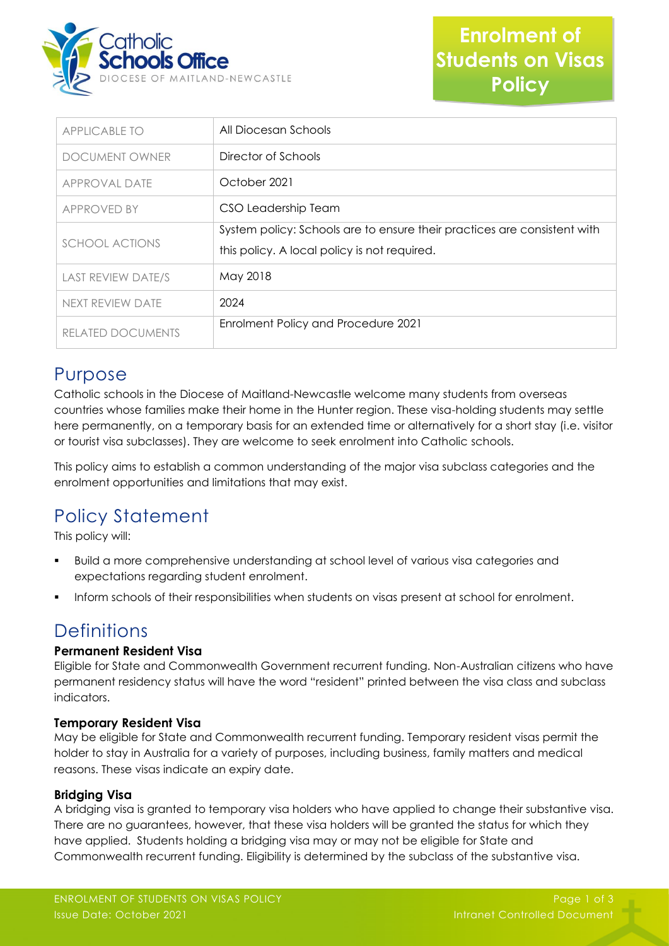

| <b>APPLICABLE TO</b>      | All Diocesan Schools                                                                                                     |
|---------------------------|--------------------------------------------------------------------------------------------------------------------------|
| <b>DOCUMENT OWNER</b>     | Director of Schools                                                                                                      |
| APPROVAL DATE             | October 2021                                                                                                             |
| APPROVED BY               | CSO Leadership Team                                                                                                      |
| <b>SCHOOL ACTIONS</b>     | System policy: Schools are to ensure their practices are consistent with<br>this policy. A local policy is not required. |
| <b>LAST REVIEW DATE/S</b> | May 2018                                                                                                                 |
| NEXT REVIEW DATE          | 2024                                                                                                                     |
| RELATED DOCUMENTS         | Enrolment Policy and Procedure 2021                                                                                      |

### Purpose

Catholic schools in the Diocese of Maitland-Newcastle welcome many students from overseas countries whose families make their home in the Hunter region. These visa-holding students may settle here permanently, on a temporary basis for an extended time or alternatively for a short stay (i.e. visitor or tourist visa subclasses). They are welcome to seek enrolment into Catholic schools.

This policy aims to establish a common understanding of the major visa subclass categories and the enrolment opportunities and limitations that may exist.

# Policy Statement

This policy will:

- Build a more comprehensive understanding at school level of various visa categories and expectations regarding student enrolment.
- Inform schools of their responsibilities when students on visas present at school for enrolment.

## **Definitions**

#### **Permanent Resident Visa**

Eligible for State and Commonwealth Government recurrent funding. Non-Australian citizens who have permanent residency status will have the word "resident" printed between the visa class and subclass indicators.

#### **Temporary Resident Visa**

May be eligible for State and Commonwealth recurrent funding. Temporary resident visas permit the holder to stay in Australia for a variety of purposes, including business, family matters and medical reasons. These visas indicate an expiry date.

#### **Bridging Visa**

A bridging visa is granted to temporary visa holders who have applied to change their substantive visa. There are no guarantees, however, that these visa holders will be granted the status for which they have applied. Students holding a bridging visa may or may not be eligible for State and Commonwealth recurrent funding. Eligibility is determined by the subclass of the substantive visa.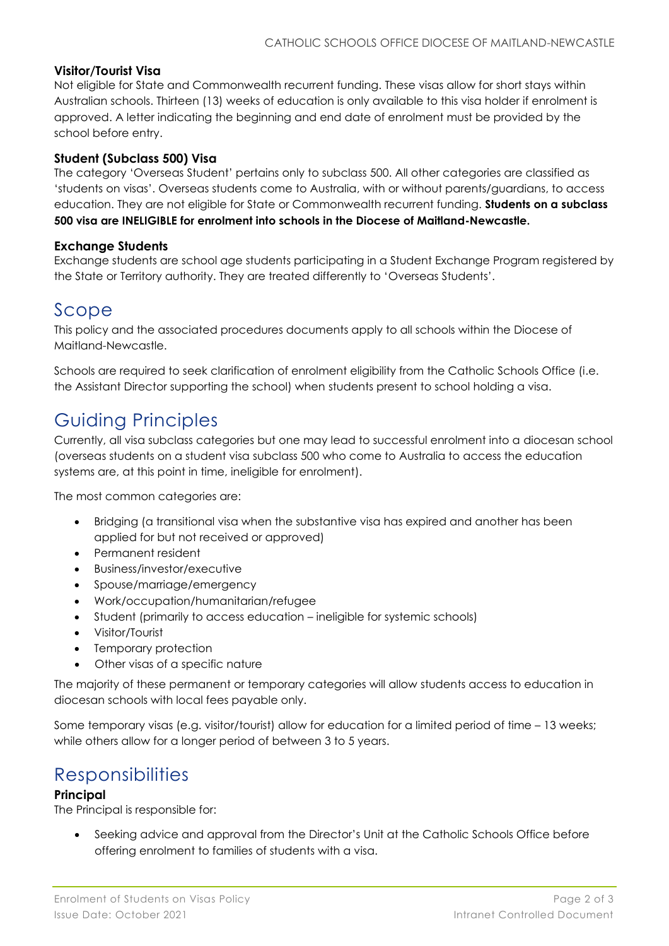#### **Visitor/Tourist Visa**

Not eligible for State and Commonwealth recurrent funding. These visas allow for short stays within Australian schools. Thirteen (13) weeks of education is only available to this visa holder if enrolment is approved. A letter indicating the beginning and end date of enrolment must be provided by the school before entry.

#### **Student (Subclass 500) Visa**

The category 'Overseas Student' pertains only to subclass 500. All other categories are classified as 'students on visas'. Overseas students come to Australia, with or without parents/guardians, to access education. They are not eligible for State or Commonwealth recurrent funding. **Students on a subclass 500 visa are INELIGIBLE for enrolment into schools in the Diocese of Maitland-Newcastle.**

#### **Exchange Students**

Exchange students are school age students participating in a Student Exchange Program registered by the State or Territory authority. They are treated differently to 'Overseas Students'.

### Scope

This policy and the associated procedures documents apply to all schools within the Diocese of Maitland-Newcastle.

Schools are required to seek clarification of enrolment eligibility from the Catholic Schools Office (i.e. the Assistant Director supporting the school) when students present to school holding a visa.

## Guiding Principles

Currently, all visa subclass categories but one may lead to successful enrolment into a diocesan school (overseas students on a student visa subclass 500 who come to Australia to access the education systems are, at this point in time, ineligible for enrolment).

The most common categories are:

- Bridging (a transitional visa when the substantive visa has expired and another has been applied for but not received or approved)
- Permanent resident
- Business/investor/executive
- Spouse/marriage/emergency
- Work/occupation/humanitarian/refugee
- Student (primarily to access education ineligible for systemic schools)
- Visitor/Tourist
- Temporary protection
- Other visas of a specific nature

The majority of these permanent or temporary categories will allow students access to education in diocesan schools with local fees payable only.

Some temporary visas (e.g. visitor/tourist) allow for education for a limited period of time – 13 weeks; while others allow for a longer period of between 3 to 5 years.

### **Responsibilities**

#### **Principal**

The Principal is responsible for:

• Seeking advice and approval from the Director's Unit at the Catholic Schools Office before offering enrolment to families of students with a visa.